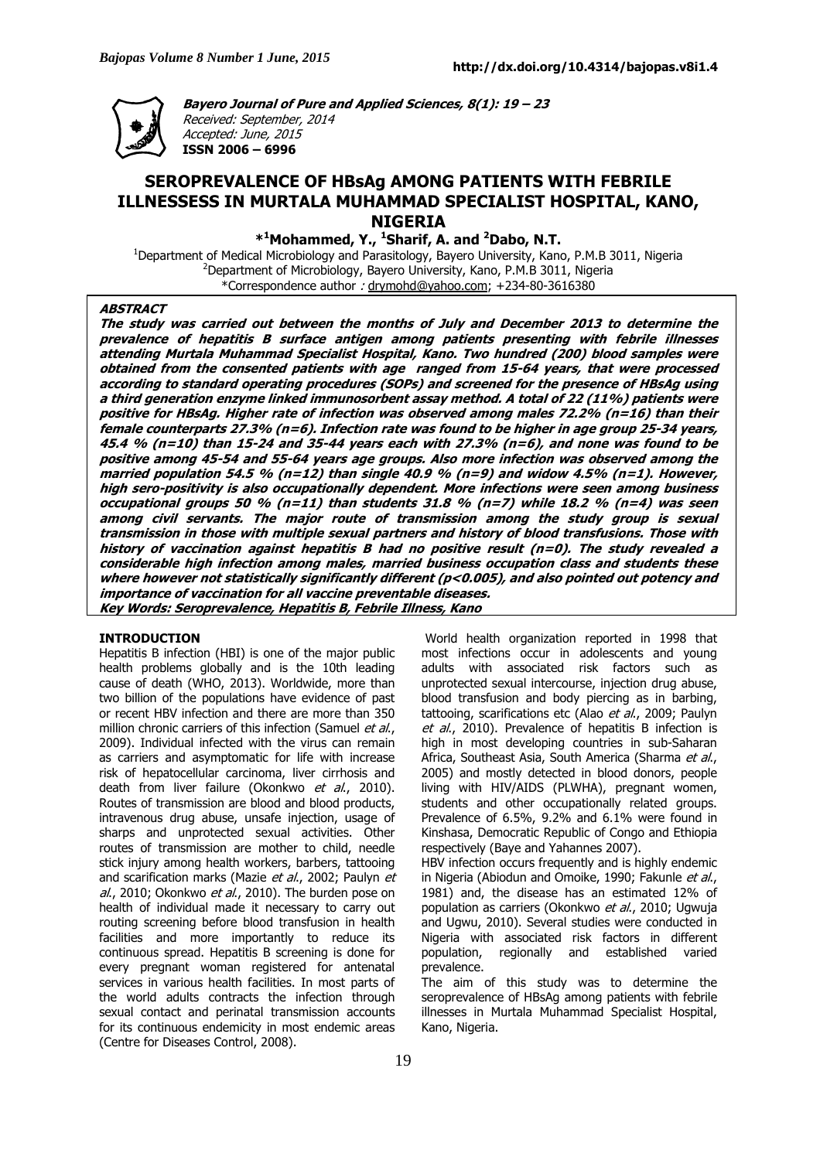

**Bayero Journal of Pure and Applied Sciences, 8(1): 19 – 23**  Received: September, 2014 Accepted: June, 2015 **ISSN 2006 – 6996** 

# **SEROPREVALENCE OF HBsAg AMONG PATIENTS WITH FEBRILE ILLNESSESS IN MURTALA MUHAMMAD SPECIALIST HOSPITAL, KANO, NIGERIA**

**\* <sup>1</sup>Mohammed, Y., <sup>1</sup>Sharif, A. and <sup>2</sup>Dabo, N.T.** 

<sup>1</sup>Department of Medical Microbiology and Parasitology, Bayero University, Kano, P.M.B 3011, Nigeria  $2$ Department of Microbiology, Bayero University, Kano, P.M.B 3011, Nigeria \*Correspondence author : drymohd@yahoo.com; +234-80-3616380

#### **ABSTRACT**

**The study was carried out between the months of July and December 2013 to determine the prevalence of hepatitis B surface antigen among patients presenting with febrile illnesses attending Murtala Muhammad Specialist Hospital, Kano. Two hundred (200) blood samples were obtained from the consented patients with age ranged from 15-64 years, that were processed according to standard operating procedures (SOPs) and screened for the presence of HBsAg using a third generation enzyme linked immunosorbent assay method. A total of 22 (11%) patients were positive for HBsAg. Higher rate of infection was observed among males 72.2% (n=16) than their female counterparts 27.3% (n=6). Infection rate was found to be higher in age group 25-34 years, 45.4 % (n=10) than 15-24 and 35-44 years each with 27.3% (n=6), and none was found to be positive among 45-54 and 55-64 years age groups. Also more infection was observed among the married population 54.5 % (n=12) than single 40.9 % (n=9) and widow 4.5% (n=1). However, high sero-positivity is also occupationally dependent. More infections were seen among business occupational groups 50 % (n=11) than students 31.8 % (n=7) while 18.2 % (n=4) was seen among civil servants. The major route of transmission among the study group is sexual transmission in those with multiple sexual partners and history of blood transfusions. Those with history of vaccination against hepatitis B had no positive result (n=0). The study revealed a considerable high infection among males, married business occupation class and students these where however not statistically significantly different (p<0.005), and also pointed out potency and importance of vaccination for all vaccine preventable diseases. Key Words: Seroprevalence, Hepatitis B, Febrile Illness, Kano** 

#### **INTRODUCTION**

Hepatitis B infection (HBI) is one of the major public health problems globally and is the 10th leading cause of death (WHO, 2013). Worldwide, more than two billion of the populations have evidence of past or recent HBV infection and there are more than 350 million chronic carriers of this infection (Samuel et al., 2009). Individual infected with the virus can remain as carriers and asymptomatic for life with increase risk of hepatocellular carcinoma, liver cirrhosis and death from liver failure (Okonkwo et al., 2010). Routes of transmission are blood and blood products, intravenous drug abuse, unsafe injection, usage of sharps and unprotected sexual activities. Other routes of transmission are mother to child, needle stick injury among health workers, barbers, tattooing and scarification marks (Mazie et al., 2002; Paulyn et al., 2010; Okonkwo et al., 2010). The burden pose on health of individual made it necessary to carry out routing screening before blood transfusion in health facilities and more importantly to reduce its continuous spread. Hepatitis B screening is done for every pregnant woman registered for antenatal services in various health facilities. In most parts of the world adults contracts the infection through sexual contact and perinatal transmission accounts for its continuous endemicity in most endemic areas (Centre for Diseases Control, 2008).

 World health organization reported in 1998 that most infections occur in adolescents and young adults with associated risk factors such as unprotected sexual intercourse, injection drug abuse, blood transfusion and body piercing as in barbing, tattooing, scarifications etc (Alao et al., 2009; Paulyn et al., 2010). Prevalence of hepatitis B infection is high in most developing countries in sub-Saharan Africa, Southeast Asia, South America (Sharma et al., 2005) and mostly detected in blood donors, people living with HIV/AIDS (PLWHA), pregnant women, students and other occupationally related groups. Prevalence of 6.5%, 9.2% and 6.1% were found in Kinshasa, Democratic Republic of Congo and Ethiopia respectively (Baye and Yahannes 2007).

HBV infection occurs frequently and is highly endemic in Nigeria (Abiodun and Omoike, 1990; Fakunle et al., 1981) and, the disease has an estimated 12% of population as carriers (Okonkwo et al., 2010; Ugwuja and Ugwu, 2010). Several studies were conducted in Nigeria with associated risk factors in different population, regionally and established varied prevalence.

The aim of this study was to determine the seroprevalence of HBsAg among patients with febrile illnesses in Murtala Muhammad Specialist Hospital, Kano, Nigeria.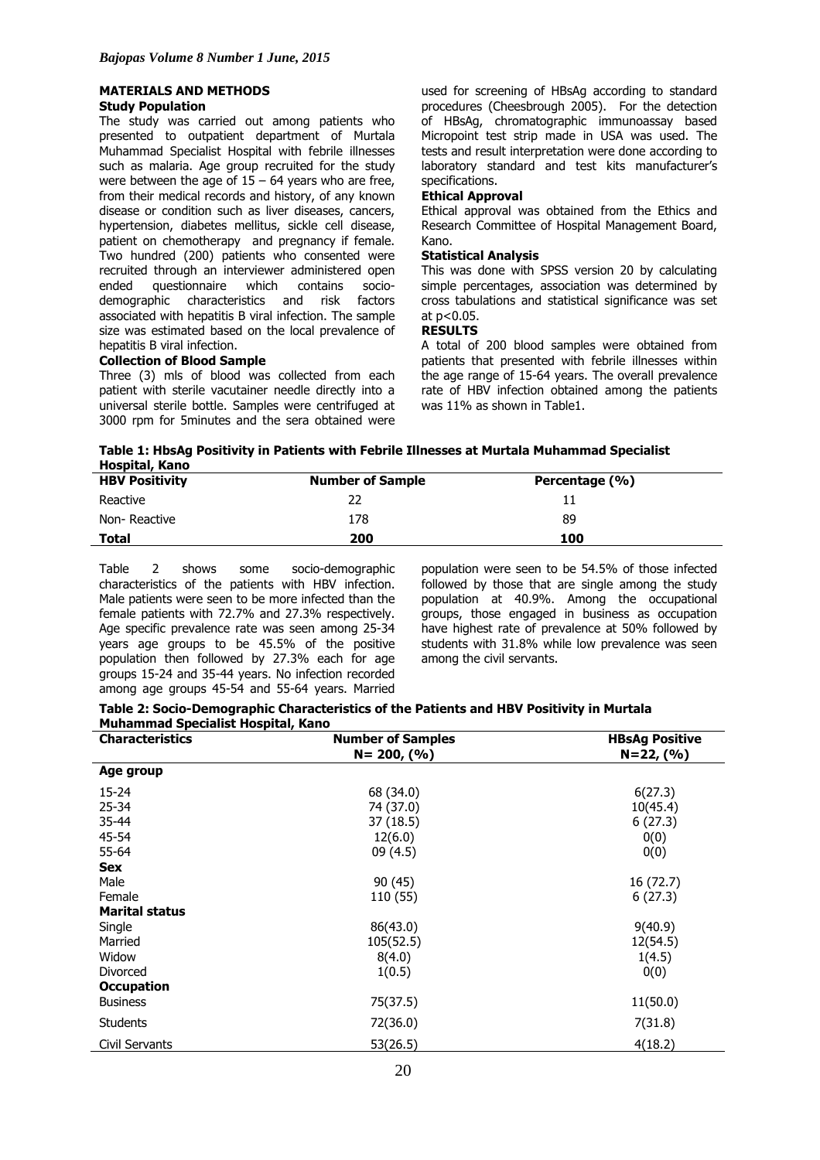# **MATERIALS AND METHODS**

## **Study Population**

The study was carried out among patients who presented to outpatient department of Murtala Muhammad Specialist Hospital with febrile illnesses such as malaria. Age group recruited for the study were between the age of  $15 - 64$  years who are free, from their medical records and history, of any known disease or condition such as liver diseases, cancers, hypertension, diabetes mellitus, sickle cell disease, patient on chemotherapy and pregnancy if female. Two hundred (200) patients who consented were recruited through an interviewer administered open ended questionnaire which contains sociodemographic characteristics and risk factors associated with hepatitis B viral infection. The sample size was estimated based on the local prevalence of hepatitis B viral infection.

## **Collection of Blood Sample**

Three (3) mls of blood was collected from each patient with sterile vacutainer needle directly into a universal sterile bottle. Samples were centrifuged at 3000 rpm for 5minutes and the sera obtained were used for screening of HBsAg according to standard procedures (Cheesbrough 2005). For the detection of HBsAg, chromatographic immunoassay based Micropoint test strip made in USA was used. The tests and result interpretation were done according to laboratory standard and test kits manufacturer's specifications.

## **Ethical Approval**

Ethical approval was obtained from the Ethics and Research Committee of Hospital Management Board, Kano.

### **Statistical Analysis**

This was done with SPSS version 20 by calculating simple percentages, association was determined by cross tabulations and statistical significance was set at p<0.05.

## **RESULTS**

A total of 200 blood samples were obtained from patients that presented with febrile illnesses within the age range of 15-64 years. The overall prevalence rate of HBV infection obtained among the patients was 11% as shown in Table1.

| Table 1: HbsAg Positivity in Patients with Febrile Illnesses at Murtala Muhammad Specialist |  |
|---------------------------------------------------------------------------------------------|--|
| Hospital, Kano                                                                              |  |

| <b>HBV Positivity</b> | <b>Number of Sample</b> | Percentage (%) |
|-----------------------|-------------------------|----------------|
| Reactive              |                         |                |
| Non-Reactive          | 178                     | 89             |
| <b>Total</b>          | 200                     | 100            |

Table 2 shows some socio-demographic characteristics of the patients with HBV infection. Male patients were seen to be more infected than the female patients with 72.7% and 27.3% respectively. Age specific prevalence rate was seen among 25-34 years age groups to be 45.5% of the positive population then followed by 27.3% each for age groups 15-24 and 35-44 years. No infection recorded among age groups 45-54 and 55-64 years. Married

population were seen to be 54.5% of those infected followed by those that are single among the study population at 40.9%. Among the occupational groups, those engaged in business as occupation have highest rate of prevalence at 50% followed by students with 31.8% while low prevalence was seen among the civil servants.

## **Table 2: Socio-Demographic Characteristics of the Patients and HBV Positivity in Murtala Muhammad Specialist Hospital, Kano**

| <b>Characteristics</b> | <b>Number of Samples</b> | <b>HBsAg Positive</b> |
|------------------------|--------------------------|-----------------------|
|                        | $N = 200, (%$            | $N=22, (%)$           |
| Age group              |                          |                       |
| 15-24                  | 68 (34.0)                | 6(27.3)               |
| $25 - 34$              | 74 (37.0)                | 10(45.4)              |
| $35 - 44$              | 37 (18.5)                | 6(27.3)               |
| 45-54                  | 12(6.0)                  | 0(0)                  |
| 55-64                  | 09(4.5)                  | 0(0)                  |
| <b>Sex</b>             |                          |                       |
| Male                   | 90 (45)                  | 16 (72.7)             |
| Female                 | 110 (55)                 | 6(27.3)               |
| <b>Marital status</b>  |                          |                       |
| Single                 | 86(43.0)                 | 9(40.9)               |
| Married                | 105(52.5)                | 12(54.5)              |
| Widow                  | 8(4.0)                   | 1(4.5)                |
| Divorced               | 1(0.5)                   | 0(0)                  |
| <b>Occupation</b>      |                          |                       |
| <b>Business</b>        | 75(37.5)                 | 11(50.0)              |
| <b>Students</b>        | 72(36.0)                 | 7(31.8)               |
| Civil Servants         | 53(26.5)                 | 4(18.2)               |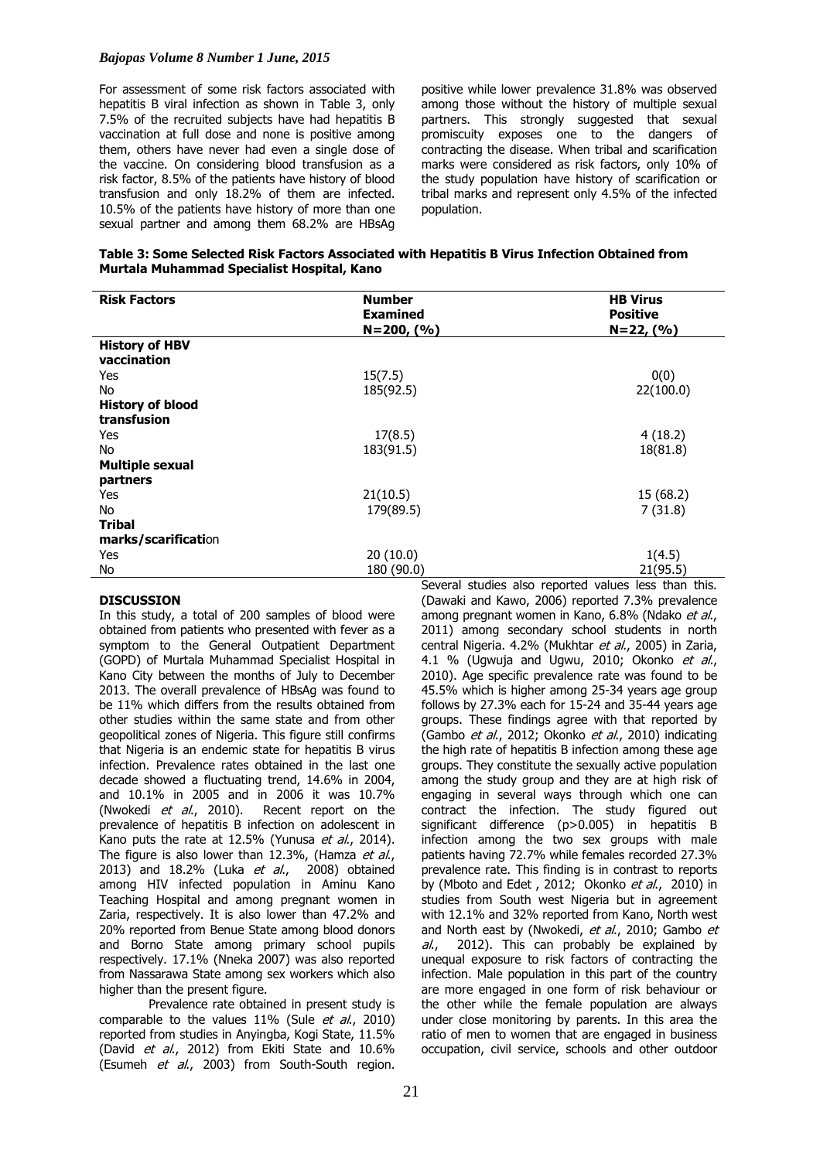### *Bajopas Volume 8 Number 1 June, 2015*

For assessment of some risk factors associated with hepatitis B viral infection as shown in Table 3, only 7.5% of the recruited subjects have had hepatitis B vaccination at full dose and none is positive among them, others have never had even a single dose of the vaccine. On considering blood transfusion as a risk factor, 8.5% of the patients have history of blood transfusion and only 18.2% of them are infected. 10.5% of the patients have history of more than one sexual partner and among them 68.2% are HBsAg

positive while lower prevalence 31.8% was observed among those without the history of multiple sexual partners. This strongly suggested that sexual promiscuity exposes one to the dangers of contracting the disease. When tribal and scarification marks were considered as risk factors, only 10% of the study population have history of scarification or tribal marks and represent only 4.5% of the infected population.

| Table 3: Some Selected Risk Factors Associated with Hepatitis B Virus Infection Obtained from |
|-----------------------------------------------------------------------------------------------|
| Murtala Muhammad Specialist Hospital, Kano                                                    |

| <b>Risk Factors</b>     | <b>Number</b>   | <b>HB Virus</b> |
|-------------------------|-----------------|-----------------|
|                         | <b>Examined</b> | <b>Positive</b> |
|                         | $N=200, (%$     | $N=22, (%$      |
| <b>History of HBV</b>   |                 |                 |
| vaccination             |                 |                 |
| Yes                     | 15(7.5)         | 0(0)            |
| No.                     | 185(92.5)       | 22(100.0)       |
| <b>History of blood</b> |                 |                 |
| transfusion             |                 |                 |
| Yes                     | 17(8.5)         | 4(18.2)         |
| No.                     | 183(91.5)       | 18(81.8)        |
| <b>Multiple sexual</b>  |                 |                 |
| partners                |                 |                 |
| Yes                     | 21(10.5)        | 15(68.2)        |
| No.                     | 179(89.5)       | 7(31.8)         |
| <b>Tribal</b>           |                 |                 |
| marks/scarification     |                 |                 |
| Yes                     | 20(10.0)        | 1(4.5)          |
| No                      | 180 (90.0)      | 21(95.5)        |

### **DISCUSSION**

In this study, a total of 200 samples of blood were obtained from patients who presented with fever as a symptom to the General Outpatient Department (GOPD) of Murtala Muhammad Specialist Hospital in Kano City between the months of July to December 2013. The overall prevalence of HBsAg was found to be 11% which differs from the results obtained from other studies within the same state and from other geopolitical zones of Nigeria. This figure still confirms that Nigeria is an endemic state for hepatitis B virus infection. Prevalence rates obtained in the last one decade showed a fluctuating trend, 14.6% in 2004, and 10.1% in 2005 and in 2006 it was 10.7%<br>(Nwokedi *et al.*, 2010). Recent report on the (Nwokedi et al., 2010). prevalence of hepatitis B infection on adolescent in Kano puts the rate at 12.5% (Yunusa et al., 2014). The figure is also lower than 12.3%, (Hamza et al., 2013) and 18.2% (Luka et al., 2008) obtained among HIV infected population in Aminu Kano Teaching Hospital and among pregnant women in Zaria, respectively. It is also lower than 47.2% and 20% reported from Benue State among blood donors and Borno State among primary school pupils respectively. 17.1% (Nneka 2007) was also reported from Nassarawa State among sex workers which also higher than the present figure.

Prevalence rate obtained in present study is comparable to the values  $11\%$  (Sule *et al.*, 2010) reported from studies in Anyingba, Kogi State, 11.5% (David et al., 2012) from Ekiti State and 10.6% (Esumeh et al., 2003) from South-South region.

Several studies also reported values less than this. (Dawaki and Kawo, 2006) reported 7.3% prevalence among pregnant women in Kano, 6.8% (Ndako et al., 2011) among secondary school students in north central Nigeria. 4.2% (Mukhtar et al., 2005) in Zaria, 4.1 % (Ugwuja and Ugwu, 2010; Okonko et al., 2010). Age specific prevalence rate was found to be 45.5% which is higher among 25-34 years age group follows by 27.3% each for 15-24 and 35-44 years age groups. These findings agree with that reported by (Gambo et al., 2012; Okonko et al., 2010) indicating the high rate of hepatitis B infection among these age groups. They constitute the sexually active population among the study group and they are at high risk of engaging in several ways through which one can contract the infection. The study figured out significant difference (p>0.005) in hepatitis B infection among the two sex groups with male patients having 72.7% while females recorded 27.3% prevalence rate. This finding is in contrast to reports by (Mboto and Edet, 2012; Okonko et al., 2010) in studies from South west Nigeria but in agreement with 12.1% and 32% reported from Kano, North west and North east by (Nwokedi, et al., 2010; Gambo et  $al$ , 2012). This can probably be explained by unequal exposure to risk factors of contracting the infection. Male population in this part of the country are more engaged in one form of risk behaviour or the other while the female population are always under close monitoring by parents. In this area the ratio of men to women that are engaged in business occupation, civil service, schools and other outdoor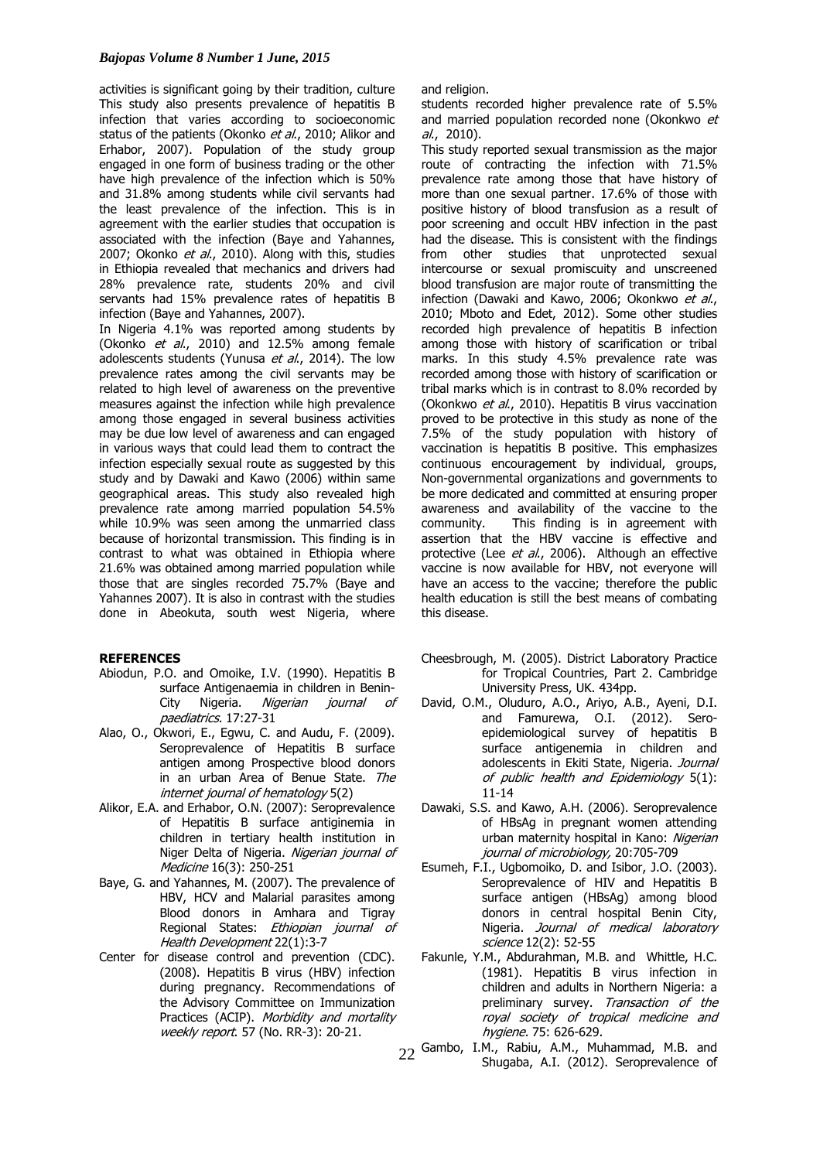activities is significant going by their tradition, culture and religion. This study also presents prevalence of hepatitis B infection that varies according to socioeconomic status of the patients (Okonko et al., 2010; Alikor and Erhabor, 2007). Population of the study group engaged in one form of business trading or the other have high prevalence of the infection which is 50% and 31.8% among students while civil servants had the least prevalence of the infection. This is in agreement with the earlier studies that occupation is associated with the infection (Baye and Yahannes, 2007; Okonko et al., 2010). Along with this, studies in Ethiopia revealed that mechanics and drivers had 28% prevalence rate, students 20% and civil servants had 15% prevalence rates of hepatitis B infection (Baye and Yahannes, 2007).

In Nigeria 4.1% was reported among students by (Okonko  $et$  al., 2010) and 12.5% among female adolescents students (Yunusa et al., 2014). The low prevalence rates among the civil servants may be related to high level of awareness on the preventive measures against the infection while high prevalence among those engaged in several business activities may be due low level of awareness and can engaged in various ways that could lead them to contract the infection especially sexual route as suggested by this study and by Dawaki and Kawo (2006) within same geographical areas. This study also revealed high prevalence rate among married population 54.5% while 10.9% was seen among the unmarried class because of horizontal transmission. This finding is in contrast to what was obtained in Ethiopia where 21.6% was obtained among married population while those that are singles recorded 75.7% (Baye and Yahannes 2007). It is also in contrast with the studies done in Abeokuta, south west Nigeria, where

## **REFERENCES**

- Abiodun, P.O. and Omoike, I.V. (1990). Hepatitis B surface Antigenaemia in children in Benin-City Nigeria. Nigerian journal of paediatrics. 17:27-31
- Alao, O., Okwori, E., Egwu, C. and Audu, F. (2009). Seroprevalence of Hepatitis B surface antigen among Prospective blood donors in an urban Area of Benue State. The internet journal of hematology 5(2)
- Alikor, E.A. and Erhabor, O.N. (2007): Seroprevalence of Hepatitis B surface antiginemia in children in tertiary health institution in Niger Delta of Nigeria. Nigerian journal of Medicine 16(3): 250-251
- Baye, G. and Yahannes, M. (2007). The prevalence of HBV, HCV and Malarial parasites among Blood donors in Amhara and Tigray Regional States: Ethiopian journal of Health Development 22(1):3-7
- Center for disease control and prevention (CDC). (2008). Hepatitis B virus (HBV) infection during pregnancy. Recommendations of the Advisory Committee on Immunization Practices (ACIP). Morbidity and mortality weekly report. 57 (No. RR-3): 20-21.

students recorded higher prevalence rate of 5.5% and married population recorded none (Okonkwo et  $al., 2010).$ 

This study reported sexual transmission as the major route of contracting the infection with 71.5% prevalence rate among those that have history of more than one sexual partner. 17.6% of those with positive history of blood transfusion as a result of poor screening and occult HBV infection in the past had the disease. This is consistent with the findings from other studies that unprotected sexual intercourse or sexual promiscuity and unscreened blood transfusion are major route of transmitting the infection (Dawaki and Kawo, 2006; Okonkwo et al., 2010; Mboto and Edet, 2012). Some other studies recorded high prevalence of hepatitis B infection among those with history of scarification or tribal marks. In this study 4.5% prevalence rate was recorded among those with history of scarification or tribal marks which is in contrast to 8.0% recorded by (Okonkwo et al., 2010). Hepatitis B virus vaccination proved to be protective in this study as none of the 7.5% of the study population with history of vaccination is hepatitis B positive. This emphasizes continuous encouragement by individual, groups, Non-governmental organizations and governments to be more dedicated and committed at ensuring proper awareness and availability of the vaccine to the community. This finding is in agreement with assertion that the HBV vaccine is effective and protective (Lee et al., 2006). Although an effective vaccine is now available for HBV, not everyone will have an access to the vaccine; therefore the public health education is still the best means of combating this disease.

- Cheesbrough, M. (2005). District Laboratory Practice for Tropical Countries, Part 2. Cambridge University Press, UK. 434pp.
- David, O.M., Oluduro, A.O., Ariyo, A.B., Ayeni, D.I. and Famurewa, O.I. (2012). Seroepidemiological survey of hepatitis B surface antigenemia in children and adolescents in Ekiti State, Nigeria. Journal of public health and Epidemiology 5(1): 11-14
- Dawaki, S.S. and Kawo, A.H. (2006). Seroprevalence of HBsAg in pregnant women attending urban maternity hospital in Kano: Nigerian journal of microbiology, 20:705-709
- Esumeh, F.I., Ugbomoiko, D. and Isibor, J.O. (2003). Seroprevalence of HIV and Hepatitis B surface antigen (HBsAg) among blood donors in central hospital Benin City, Nigeria. Journal of medical laboratory science 12(2): 52-55
- Fakunle, Y.M., Abdurahman, M.B. and Whittle, H.C. (1981). Hepatitis B virus infection in children and adults in Northern Nigeria: a preliminary survey. Transaction of the royal society of tropical medicine and hygiene. 75: 626-629.
- $22$  Gambo, I.M., Rabiu, A.M., Muhammad, M.B. and<br>Shugaba, A.I. (2012). Seroprevalence of